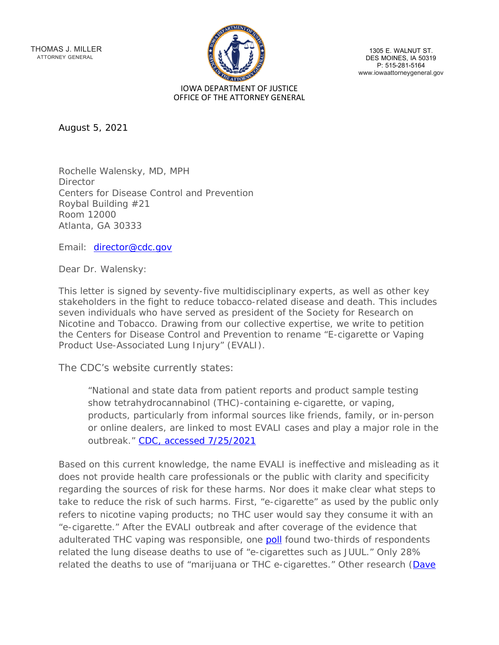THOMAS J. MILLER ATTORNEY GENERAL



1305 E. WALNUT ST. DES MOINES, IA 50319<br>P: 515-281-5164 www.iowaattorneygeneral.gov

August 5, 2021

Rochelle Walensky, MD, MPH Director Centers for Disease Control and Prevention Roybal Building #21 Room 12000 Atlanta, GA 30333

Email: [director@cdc.gov](mailto:director@cdc.gov)

Dear Dr. Walensky:

This letter is signed by seventy-five multidisciplinary experts, as well as other key stakeholders in the fight to reduce tobacco-related disease and death. This includes seven individuals who have served as president of the Society for Research on Nicotine and Tobacco. Drawing from our collective expertise, we write to petition the Centers for Disease Control and Prevention to rename "E-cigarette or Vaping Product Use-Associated Lung Injury" (EVALI).

The CDC's website currently states:

"National and state data from patient reports and product sample testing show tetrahydrocannabinol (THC)-containing e-cigarette, or vaping, products, particularly from informal sources like friends, family, or in-person or online dealers, are linked to most EVALI cases and play a major role in the outbreak." [CDC, accessed 7/25/2021](https://www.cdc.gov/tobacco/basic_information/e-cigarettes/severe-lung-disease.html)

Based on this current knowledge, the name EVALI is ineffective and misleading as it does not provide health care professionals or the public with clarity and specificity regarding the sources of risk for these harms. Nor does it make clear what steps to take to reduce the risk of such harms. First, "e-cigarette" as used by the public only refers to nicotine vaping products; no THC user would say they consume it with an "e-cigarette." After the EVALI outbreak and after coverage of the evidence that adulterated THC vaping was responsible, one [poll](https://morningconsult.com/2020/02/05/electronic-cigarettes-increasingly-blamed-by-public-for-lung-illnesses-even-as-evidence-points-elsewher) found two-thirds of respondents related the lung disease deaths to use of "e-cigarettes such as JUUL." Only 28% related the deaths to use of "marijuana or THC e-cigarettes." Other research [\(Dave](https://link.springer.com/article/10.1007/s11166-020-09329-2)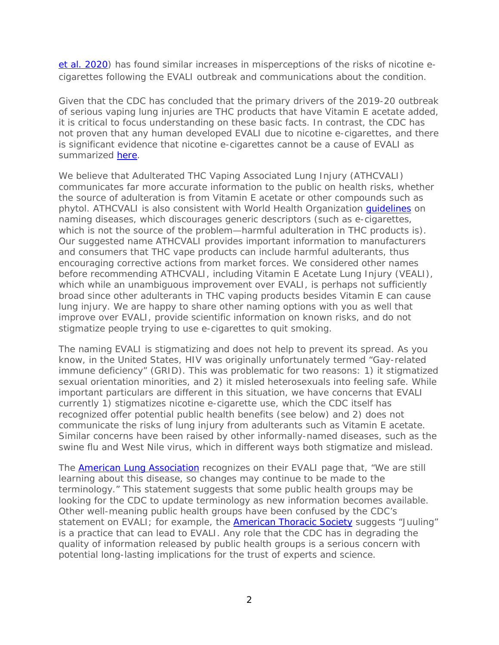[et al. 2020\)](https://link.springer.com/article/10.1007/s11166-020-09329-2) has found similar increases in misperceptions of the risks of nicotine ecigarettes following the EVALI outbreak and communications about the condition.

Given that the CDC has concluded that the primary drivers of the 2019-20 outbreak of serious vaping lung injuries are THC products that have Vitamin E acetate added, it is critical to focus understanding on these basic facts. In contrast, the CDC has not proven that any human developed EVALI due to nicotine e-cigarettes, and there is significant evidence that nicotine e-cigarettes cannot be a cause of EVALI as summarized [here.](https://www.qeios.com/read/ZGVHM7.3)

We believe that Adulterated THC Vaping Associated Lung Injury (ATHCVALI) communicates far more accurate information to the public on health risks, whether the source of adulteration is from Vitamin E acetate or other compounds such as phytol. ATHCVALI is also consistent with World Health Organization [guidelines](http://apps.who.int/iris/bitstream/handle/10665/163636/WHO_HSE_FOS_15.1_eng.pdf;jsessionid=E9A7AA8A8FF25CA0F0B885A36819466B?sequence=1) on naming diseases, which discourages generic descriptors (such as e-cigarettes, which is not the source of the problem—harmful adulteration in THC products is). Our suggested name ATHCVALI provides important information to manufacturers and consumers that THC vape products can include harmful adulterants, thus encouraging corrective actions from market forces. We considered other names before recommending ATHCVALI, including Vitamin E Acetate Lung Injury (VEALI), which while an unambiguous improvement over EVALI, is perhaps not sufficiently broad since other adulterants in THC vaping products besides Vitamin E can cause lung injury. We are happy to share other naming options with you as well that improve over EVALI, provide scientific information on known risks, and do not stigmatize people trying to use e-cigarettes to quit smoking.

The naming EVALI is stigmatizing and does not help to prevent its spread. As you know, in the United States, HIV was originally unfortunately termed "Gay-related immune deficiency" (GRID). This was problematic for two reasons: 1) it stigmatized sexual orientation minorities, and 2) it misled heterosexuals into feeling safe. While important particulars are different in this situation, we have concerns that EVALI currently 1) stigmatizes nicotine e-cigarette use, which the CDC itself has recognized offer potential public health benefits (see below) and 2) does not communicate the risks of lung injury from adulterants such as Vitamin E acetate. Similar concerns have been raised by other informally-named diseases, such as the swine flu and West Nile virus, which in different ways both stigmatize and mislead.

The [American Lung Association](https://www.lung.org/lung-health-diseases/lung-disease-lookup/evali) recognizes on their EVALI page that, "We are still learning about this disease, so changes may continue to be made to the terminology." This statement suggests that some public health groups may be looking for the CDC to update terminology as new information becomes available. Other well-meaning public health groups have been confused by the CDC's statement on EVALI; for example, the [American Thoracic Society](https://www.thoracic.org/patients/patient-resources/resources/evali-vapi-clinician.pdf) suggests "Juuling" is a practice that can lead to EVALI. Any role that the CDC has in degrading the quality of information released by public health groups is a serious concern with potential long-lasting implications for the trust of experts and science.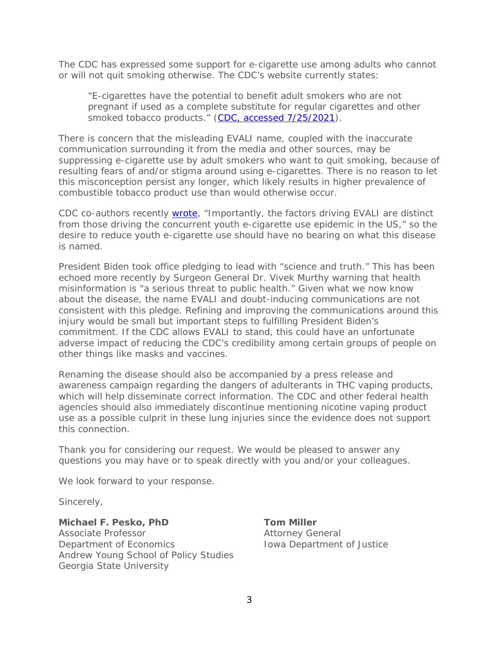The CDC has expressed some support for e-cigarette use among adults who cannot or will not quit smoking otherwise. The CDC's website currently states:

"E-cigarettes have the potential to benefit adult smokers who are not pregnant if used as a complete substitute for regular cigarettes and other smoked tobacco products." [\(CDC, accessed 7/25/2021\)](https://www.cdc.gov/tobacco/basic_information/e-cigarettes/index.htm).

There is concern that the misleading EVALI name, coupled with the inaccurate communication surrounding it from the media and other sources, may be suppressing e-cigarette use by adult smokers who want to quit smoking, because of resulting fears of and/or stigma around using e-cigarettes. There is no reason to let this misconception persist any longer, which likely results in higher prevalence of combustible tobacco product use than would otherwise occur.

CDC co-authors recently [wrote,](https://academic.oup.com/ntr/article/22/Supplement_1/S96/6035090?login=true) "Importantly, the factors driving EVALI are distinct from those driving the concurrent youth e-cigarette use epidemic in the US," so the desire to reduce youth e-cigarette use should have no bearing on what this disease is named.

President Biden took office pledging to lead with "science and truth." This has been echoed more recently by Surgeon General Dr. Vivek Murthy warning that health misinformation is "a serious threat to public health." Given what we now know about the disease, the name EVALI and doubt-inducing communications are not consistent with this pledge. Refining and improving the communications around this injury would be small but important steps to fulfilling President Biden's commitment. If the CDC allows EVALI to stand, this could have an unfortunate adverse impact of reducing the CDC's credibility among certain groups of people on other things like masks and vaccines.

Renaming the disease should also be accompanied by a press release and awareness campaign regarding the dangers of adulterants in THC vaping products, which will help disseminate correct information. The CDC and other federal health agencies should also immediately discontinue mentioning nicotine vaping product use as a possible culprit in these lung injuries since the evidence does not support this connection.

Thank you for considering our request. We would be pleased to answer any questions you may have or to speak directly with you and/or your colleagues.

We look forward to your response.

Sincerely,

**Michael F. Pesko, PhD Tom Miller** Associate Professor **Attorney General** Department of Economics Iowa Department of Justice Andrew Young School of Policy Studies Georgia State University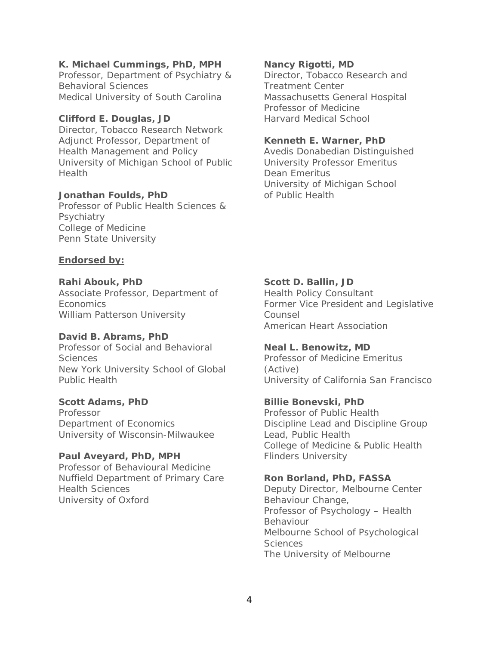### **K. Michael Cummings, PhD, MPH Nancy Rigotti, MD**

Professor, Department of Psychiatry & Director, Tobacco Research and Behavioral Sciences **Treatment Center** Medical University of South Carolina Massachusetts General Hospital

# **Clifford E. Douglas, JD** Harvard Medical School

Director, Tobacco Research Network Adjunct Professor, Department of **Kenneth E. Warner, PhD** Health Management and Policy **Avedis Donabedian Distinguished** University of Michigan School of Public University Professor Emeritus Health Dean Emeritus

### **Jonathan Foulds, PhD** of Public Health

Professor of Public Health Sciences & **Psychiatry** College of Medicine Penn State University

### **Endorsed by:**

**Rahi Abouk, PhD Scott D. Ballin, JD** Associate Professor, Department of Health Policy Consultant William Patterson University **Counsel** 

# **David B. Abrams, PhD**

Professor of Social and Behavioral **Neal L. Benowitz, MD** Sciences Professor of Medicine Emeritus New York University School of Global (Active) Public Health University of California San Francisco

**Scott Adams, PhD Billie Bonevski, PhD** Professor **Professor** Professor of Public Health University of Wisconsin-Milwaukee Lead, Public Health

# Paul Aveyard, PhD, MPH Flinders University

Professor of Behavioural Medicine Nuffield Department of Primary Care **Ron Borland, PhD, FASSA** Health Sciences Deputy Director, Melbourne Center University of Oxford Behaviour Change,

Professor of Medicine

University of Michigan School

Economics **Exercise Economics** Former Vice President and Legislative American Heart Association

Department of Economics Discipline Lead and Discipline Group College of Medicine & Public Health

Professor of Psychology – Health Behaviour Melbourne School of Psychological Sciences The University of Melbourne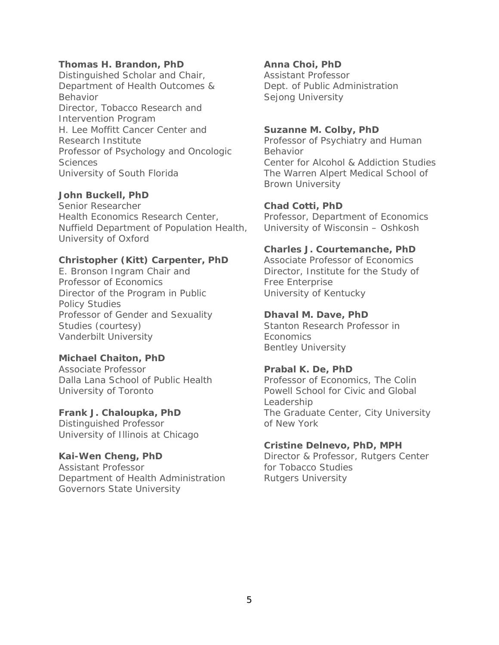### **Thomas H. Brandon, PhD Anna Choi, PhD**

Distinguished Scholar and Chair, **Assistant Professor** Department of Health Outcomes & Dept. of Public Administration Behavior **Selong University** Sejong University Director, Tobacco Research and Intervention Program H. Lee Moffitt Cancer Center and **Suzanne M. Colby, PhD** Research Institute Professor of Psychiatry and Human Professor of Psychology and Oncologic Behavior Sciences Center for Alcohol & Addiction Studies University of South Florida The Warren Alpert Medical School of

# **John Buckell, PhD**

Senior Researcher **Chad Cotti, PhD** Health Economics Research Center, Professor, Department of Economics Nuffield Department of Population Health, University of Wisconsin – Oshkosh University of Oxford

### **Christopher (Kitt) Carpenter, PhD** Associate Professor of Economics

Professor of Economics Free Enterprise Director of the Program in Public University of Kentucky Policy Studies Professor of Gender and Sexuality **Dhaval M. Dave, PhD** Studies (courtesy) Stanton Research Professor in Vanderbilt University **Example 2018** Economics

# **Michael Chaiton, PhD**

Associate Professor **Prabal K. De, PhD** 

Distinguished Professor **Canadian Control Control** of New York University of Illinois at Chicago

Assistant Professor **for Tobacco Studies** Department of Health Administration Rutgers University Governors State University

Brown University

### **Charles J. Courtemanche, PhD**

E. Bronson Ingram Chair and Director, Institute for the Study of

Bentley University

Dalla Lana School of Public Health Professor of Economics, The Colin University of Toronto **Powell School for Civic and Global** Leadership **Frank J. Chaloupka, PhD** The Graduate Center, City University

### **Cristine Delnevo, PhD, MPH**

**Kai-Wen Cheng, PhD** Director & Professor, Rutgers Center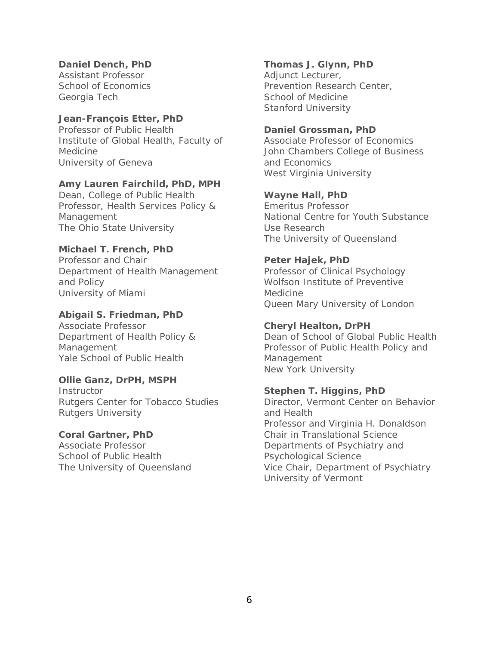Assistant Professor **Adjunct Lecturer**, Georgia Tech School of Medicine

# **Jean-François Etter, PhD**

Professor of Public Health **Daniel Grossman, PhD** Institute of Global Health, Faculty of Associate Professor of Economics Medicine John Chambers College of Business University of Geneva<br>
and Economics

### **Amy Lauren Fairchild, PhD, MPH**

Dean, College of Public Health **Wayne Hall, PhD** Professor, Health Services Policy & Emeritus Professor The Ohio State University **Example 20 Use Research** 

### **Michael T. French, PhD**

Professor and Chair **Peter Hajek, PhD** Department of Health Management Professor of Clinical Psychology and Policy and Policy and Policy and Policy and Policy and Policy and Policy and Policy and Policy and Policy University of Miami and Medicine

# **Abigail S. Friedman, PhD**

Associate Professor **Cheryl Healton, DrPH** Yale School of Public Health Management

### **Ollie Ganz, DrPH, MSPH**

Instructor **Stephen T. Higgins, PhD** Rutgers Center for Tobacco Studies **Director**, Vermont Center on Behavior Rutgers University **and Health** 

School of Public Health Psychological Science

### **Daniel Dench, PhD Thomas J. Glynn, PhD**

School of Economics **Prevention Research Center**, Stanford University

West Virginia University

Management Management Mational Centre for Youth Substance The University of Queensland

Queen Mary University of London

Department of Health Policy & Dean of School of Global Public Health Management Professor of Public Health Policy and New York University

Professor and Virginia H. Donaldson **Coral Gartner, PhD** Chair in Translational Science Associate Professor Departments of Psychiatry and The University of Queensland Vice Chair, Department of Psychiatry University of Vermont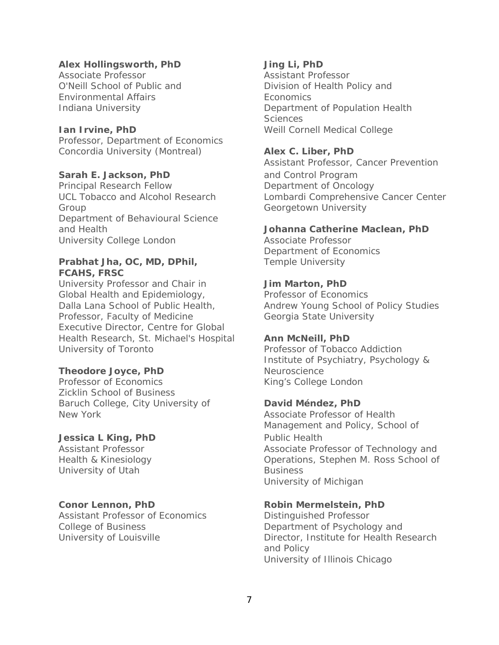### **Alex Hollingsworth, PhD Jing Li, PhD**

Associate Professor **Assistant Professor Assistant Professor** Environmental Affairs Economics

Professor, Department of Economics Concordia University (Montreal) **Alex C. Liber, PhD**

# **Sarah E. Jackson, PhD** and Control Program

Principal Research Fellow Department of Oncology Group Georgetown University Department of Behavioural Science University College London **Associate Professor** 

### **Prabhat Jha, OC, MD, DPhil,** Temple University **FCAHS, FRSC**

University Professor and Chair in **Jim Marton, PhD** Global Health and Epidemiology, Professor of Economics Dalla Lana School of Public Health, Andrew Young School of Policy Studies Professor, Faculty of Medicine **Georgia State University** Executive Director, Centre for Global Health Research, St. Michael's Hospital **Ann McNeill, PhD** University of Toronto **Professor of Tobacco Addiction** 

### **Theodore Joyce, PhD** Neuroscience

Professor of Economics King's College London Zicklin School of Business Baruch College, City University of **David Méndez, PhD** New York Associate Professor of Health

### **Jessica L King, PhD** Public Health

University of Utah Business

Assistant Professor of Economics Distinguished Professor College of Business **Department of Psychology and** 

O'Neill School of Public and **Division of Health Policy and** Indiana University Department of Population Health Sciences **Ian Irvine, PhD** Weill Cornell Medical College

Assistant Professor, Cancer Prevention UCL Tobacco and Alcohol Research Lombardi Comprehensive Cancer Center

### and Health **Johanna Catherine Maclean, PhD**

Department of Economics

Institute of Psychiatry, Psychology &

Management and Policy, School of Assistant Professor **Associate Professor of Technology and** Health & Kinesiology Operations, Stephen M. Ross School of University of Michigan

### **Conor Lennon, PhD Robin Mermelstein, PhD**

University of Louisville **Director**, Institute for Health Research and Policy University of Illinois Chicago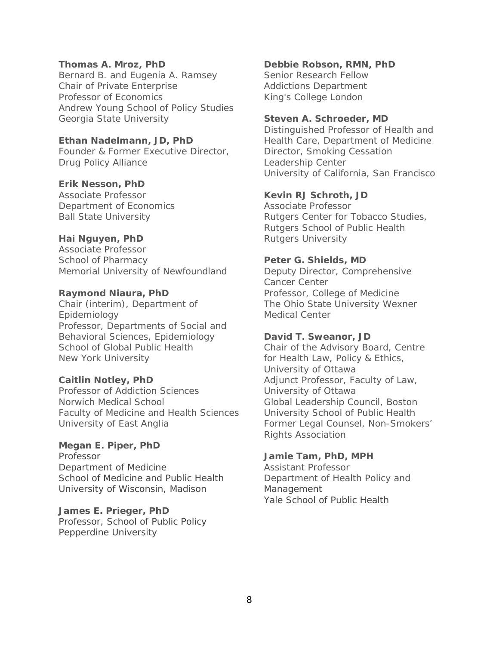Bernard B. and Eugenia A. Ramsey Senior Research Fellow Chair of Private Enterprise Addictions Department Professor of Economics King's College London Andrew Young School of Policy Studies Georgia State University **Steven A. Schroeder, MD**

Founder & Former Executive Director, Director, Smoking Cessation Drug Policy Alliance Leadership Center

### **Erik Nesson, PhD**

Department of Economics and Associate Professor

Associate Professor School of Pharmacy **Peter G. Shields, MD** Memorial University of Newfoundland Deputy Director, Comprehensive

Epidemiology **Medical Center** Professor, Departments of Social and Behavioral Sciences, Epidemiology **David T. Sweanor, JD** School of Global Public Health Chair of the Advisory Board, Centre New York University **For Health Law, Policy & Ethics,** 

Professor of Addiction Sciences **University of Ottawa** Norwich Medical School **Global Leadership Council, Boston** Faculty of Medicine and Health Sciences University School of Public Health University of East Anglia Former Legal Counsel, Non-Smokers'

# **Megan E. Piper, PhD**

Department of Medicine **Assistant Professor** School of Medicine and Public Health **Department of Health Policy and** University of Wisconsin, Madison Management

**James E. Prieger, PhD** Professor, School of Public Policy Pepperdine University

# **Thomas A. Mroz, PhD Debbie Robson, RMN, PhD**

Distinguished Professor of Health and **Ethan Nadelmann, JD, PhD** Health Care, Department of Medicine University of California, San Francisco

### Associate Professor **Kevin RJ Schroth, JD**

Ball State University **Rutgers Center for Tobacco Studies**, Rutgers School of Public Health **Hai Nguyen, PhD Rutgers University** 

Cancer Center **Raymond Niaura, PhD** Professor, College of Medicine Chair (interim), Department of The Ohio State University Wexner

University of Ottawa **Caitlin Notley, PhD** Adjunct Professor, Faculty of Law, Rights Association

### Professor **Jamie Tam, PhD, MPH**

Yale School of Public Health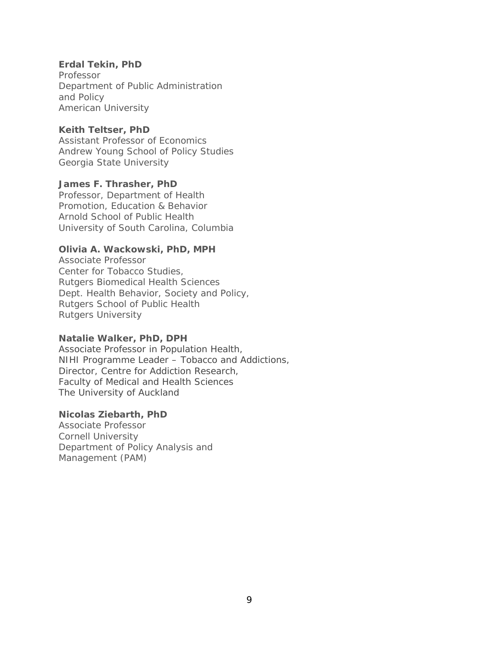# **Erdal Tekin, PhD**

Professor Department of Public Administration and Policy American University

# **Keith Teltser, PhD**

Assistant Professor of Economics Andrew Young School of Policy Studies Georgia State University

# **James F. Thrasher, PhD**

Professor, Department of Health Promotion, Education & Behavior Arnold School of Public Health University of South Carolina, Columbia

# **Olivia A. Wackowski, PhD, MPH**

Associate Professor Center for Tobacco Studies, Rutgers Biomedical Health Sciences Dept. Health Behavior, Society and Policy, Rutgers School of Public Health Rutgers University

# **Natalie Walker, PhD, DPH**

Associate Professor in Population Health, NIHI Programme Leader – Tobacco and Addictions, Director, Centre for Addiction Research, Faculty of Medical and Health Sciences The University of Auckland

# **Nicolas Ziebarth, PhD**

Associate Professor Cornell University Department of Policy Analysis and Management (PAM)